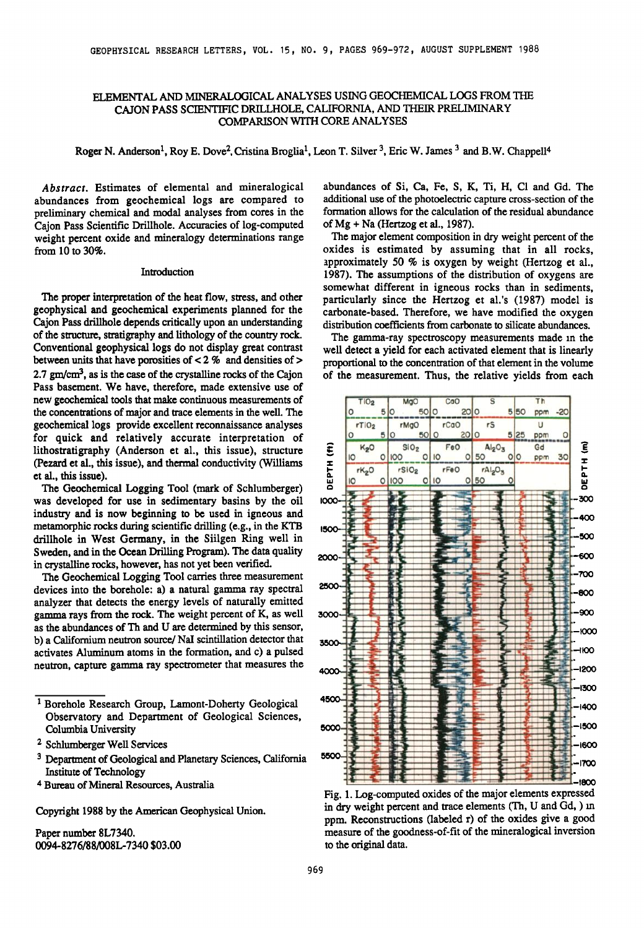# **ELEMENTAL AND MINERALOGICAL ANALYSES USING GEOCHEMICAL LOGS FROM THE CAJON PASS SCIENTIFIC DRILLHOLE, CALIFORNIA, AND THEIR PRELIMINARY COMPARISON WITH CORE ANALYSES**

**Roger N. Anderson<sup>1</sup>, Roy E. Dove<sup>2</sup>, Cristina Broglia<sup>1</sup>, Leon T. Silver <sup>3</sup>, Eric W. James <sup>3</sup> and B.W. Chappell<sup>4</sup>** 

**Abstract. Estimates of elemental and mineralogical abundances from geochemical logs are compared to preliminary chemical and modal analyses from cores in the Cajon Pass Scientific Drillhole. Accuracies of log-computed weight percent oxide and mineralogy determinations range from 10 to 30%.** 

### **Introduction**

**The proper interpretation of the heat flow, stress, and other geophysical and geochemical experiments planned for the Cajon Pass drillhole depends critically upon an understanding of the structure, stratigraphy and lithology of the country rock. Conventional geophysical logs do not display great contrast between units that have porosities of < 2 % and densities of > 2.7 gm/cm 3,as is the case of the crystalline rocks of the Cajon Pass basement. We have, therefore, made extensive use of new geochemical tools that make continuous measurements of the concentrations of major and trace elements in the well. The geochemical logs provide excellent reconnaissance analyses for quick and relatively accurate interpretation of lithostratigraphy (Anderson et al., this issue), structure (Pezard et al., this issue), and thermal conductivity (Williams et al., this issue).** 

**The Geochemical Logging Tool (mark of Schlumberger) was developed for use in sedimentary basins by the oil industry and is now beginning to be used in igneous and metamorphic rocks during scientific drilling. (e.g., in the KTB drillhole in West Germany, in the Siilgen Ring well in Sweden, and in the Ocean Drilling Program). The data quality in crystalline rocks, however, has not yet been verified.** 

**The Geochemical Logging Tool carries three measurement devices into the borehole: a) a natural gamma ray spectral analyzer that detects the energy levels of naturally emitted gamma rays from the rock. The weight percent of K, as well as the abundances of Th and U are determined by this sensor, b) a Californium neutron source/NaI scintillation detector that activates Aluminum atoms in the formation, and c) a pulsed neutron, capture gamma ray spectrometer that measures the** 

- <sup>1</sup> Borehole Research Group, Lamont-Doherty Geological **Observatory and Department of Geological Sciences, Columbia University**
- <sup>2</sup> Schlumberger Well Services
- **Department of Geological and Planetary Sciences, California Institute of Technology**
- **Bureau of Mineral Resources, Australia**

**Copyright 1988 by the American Geophysical Union.** 

**Paper number 8L7340. 0094- 8276/88/008L-7340 \$03.00** 

**abundances of Si, Ca, Fe, S, K, Ti, H, C1 and Gd. The additional use of the photoelectricapture cross-section of the formation allows for the calculation of the residual abundance of Mg + Na (Hertzog et al., 1987).** 

**The major element composition in dry weight percent of the oxides is estimated by assuming that in all rocks, approximately 50 % is oxygen by weight (Hertzog et al., 1987). The assumptions of the distribution of oxygens are somewhat different in igneous rocks than in sediments, particularly since the Hertzog et al.'s (1987) model is carbonate-based. Therefore, we have modified the oxygen distribution coefficients from carbonate to silicate abundances.** 

**The gamma-ray spectroscopy measurements made in the well detect a yield for each activated element that is linearly proportional to the concentration of that element in the volume of the measurement. Thus, the relative yields from each** 



**Fig. 1. Log-computed oxides of the major elements expressed in dry weight percent and trace elements (Th, U' and Gd, ) in ppm. Reconstructions (labeled r) of the oxides give a good measure of the goodness-of-fit of the mineralogical inversion to the original data.**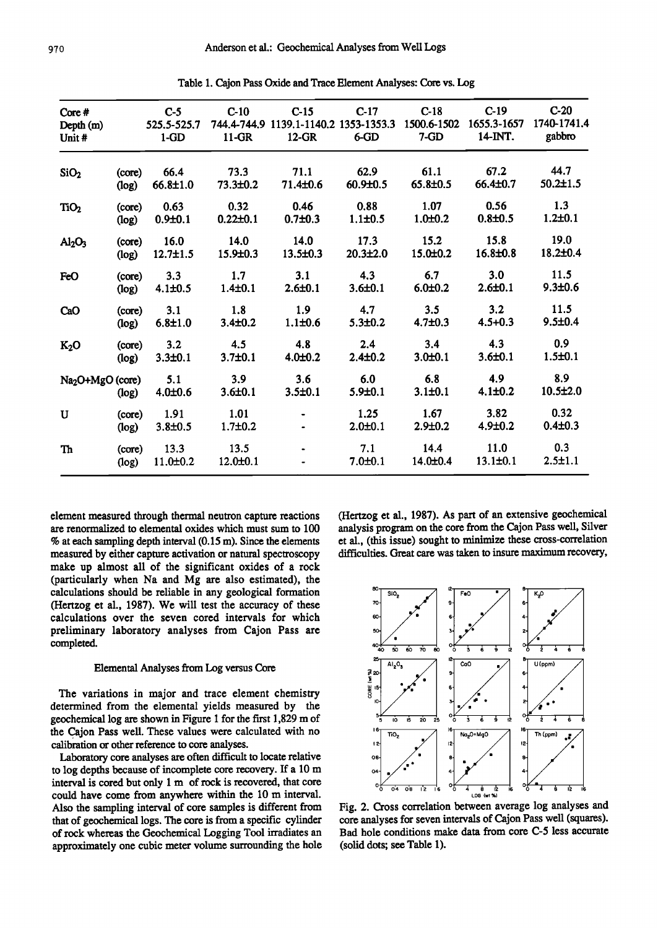|                                |                 |                        |                        | $C-15$<br>1139.1-1140.2 1353-1353.3 | $C-17$                 | $C-18$<br>1500.6-1502 | $C-19$<br>1655.3-1657  | $C-20$<br>1740-1741.4 |
|--------------------------------|-----------------|------------------------|------------------------|-------------------------------------|------------------------|-----------------------|------------------------|-----------------------|
| Core#<br>Depth (m)<br>Unit#    |                 | $C-5$<br>525.5-525.7   | $C-10$<br>744.4-744.9  |                                     |                        |                       |                        |                       |
|                                |                 | $1-GD$                 | $11-GR$                | $12-GR$                             | $6$ -GD                | $7 - GD$              | 14-INT.                | gabbro                |
| SiO <sub>2</sub>               | (core)          | 66.4                   | 73.3                   | 71.1                                | 62.9                   | 61.1                  | 67.2                   | 44.7                  |
|                                | (log)           | 66.8±1.0               | 73.3±0.2               | 71.4±0.6                            | 60.9±0.5               | 65.8±0.5              | 66.4±0.7               | $50.2 \pm 1.5$        |
| TiO <sub>2</sub>               | (core)<br>(log) | 0.63<br>$0.9 + 0.1$    | 0.32<br>$0.22 \pm 0.1$ | 0.46<br>$0.7 + 0.3$                 | 0.88<br>$1.1 \pm 0.5$  | 1.07<br>$1.0 + 0.2$   | 0.56<br>$0.8 + 0.5$    | 1.3<br>$1.2 + 0.1$    |
| Al <sub>2</sub> O <sub>3</sub> | (core)<br>(log) | 16.0<br>$12.7 \pm 1.5$ | 14.0<br>15.9±0.3       | 14.0<br>$13.5 \pm 0.3$              | 17.3<br>$20.3 \pm 2.0$ | 15.2<br>15.0±0.2      | 15.8<br>$16.8 \pm 0.8$ | 19.0<br>18.2±0.4      |
| FeO                            | (core)<br>(log) | 3.3<br>$4.1 \pm 0.5$   | 1.7<br>$1.4 \pm 0.1$   | 3.1<br>$2.6 \pm 0.1$                | 4.3<br>$3.6 \pm 0.1$   | 6.7<br>$6.0 + 0.2$    | 3.0<br>$2.6 + 0.1$     | 11.5<br>$9.3 + 0.6$   |
| CaO                            | (core)<br>(log) | 3.1<br>$6.8 + 1.0$     | 1.8<br>$3.4 \pm 0.2$   | 1.9<br>$1.1 \pm 0.6$                | 4.7<br>$5.3 + 0.2$     | 3.5<br>$4.7 + 0.3$    | 3.2<br>$4.5 + 0.3$     | 11.5<br>$9.5 \pm 0.4$ |
| K <sub>2</sub> O               | (core)<br>(log) | 3.2<br>$3.3 + 0.1$     | 4.5<br>$3.7 + 0.1$     | 4.8<br>$4.0 + 0.2$                  | 2.4<br>$2.4 \pm 0.2$   | 3.4<br>$3.0 + 0.1$    | 4.3<br>$3.6 \pm 0.1$   | 0.9<br>$1.5 \pm 0.1$  |
| Na <sub>2</sub> O+MgO (core)   | (log)           | 5.1<br>$4.0 \pm 0.6$   | 3.9<br>$3.6 + 0.1$     | 3.6<br>$3.5 \pm 0.1$                | 6.0<br>$5.9 \pm 0.1$   | 6.8<br>$3.1 \pm 0.1$  | 4.9<br>$4.1 \pm 0.2$   | 8.9<br>$10.5 \pm 2.0$ |
| U                              | (core)<br>(log) | 1.91<br>$3.8 + 0.5$    | 1.01<br>$1.7 + 0.2$    |                                     | 1.25<br>$2.0 + 0.1$    | 1.67<br>$2.9 + 0.2$   | 3.82<br>$4.9 \pm 0.2$  | 0.32<br>$0.4 \pm 0.3$ |
| Th                             | (core)<br>(log) | 13.3<br>$11.0 \pm 0.2$ | 13.5<br>$12.0 \pm 0.1$ |                                     | 7.1<br>$7.0 \pm 0.1$   | 14.4<br>14.0±0.4      | 11.0<br>$13.1 \pm 0.1$ | 0.3<br>$2.5 \pm 1.1$  |

**Table 1. Cajon Pass Oxide and Trace Element Analyses: Core vs. Log** 

**element measured through thermal neutron capture reactions are renormalized to elemental oxides which must sum to 100 % at each sampling depth interval (0.15 m). Since the elements measured by either capture activation or natural spectroscopy make up almost all of the significant oxides of a rock (particularly when Na and Mg are also estimated), the calculations should be reliable in any geological formation (Hertzog et al., 1987). We will test the accuracy of these calculations over the seven cored intervals for which preliminary laboratory analyses from Cajon Pass are completed.** 

### **Elemental Analyses from Log versus Core**

**The variations in major and trace element chemistry determined from the elemental yields measured by the geochemical log are shown in Figure 1 for the first 1,829 m of the Cajon Pass well. These values were calculated with no calibration or other reference to core analyses.** 

Laboratory core analyses are often difficult to locate relative **to log depths because of incomplete core recovery. Ifa 10 m interval is cored but only 1 m of rock is recovered, that core could have come from anywhere within the 10 m interval. Also the sampling interval of core samples is different from that of geochemical logs. The core is from a specific cylinder of rock whereas the Geochemical Logging Tool irradiates an approximately one cubic meter volume surrounding the hole**  **(Hertzog et al., 1987). As part of an extensive geochemical analysis program on the core from the Cajon Pass well, Silver et al., (this issue) sought to minimize these cross-correlation difficulties. Great care was taken to insure maximum recovery,** 



**Fig. 2. Cross correlation between average log analyses and**  core analyses for seven intervals of Cajon Pass well (squares). **Bad hole conditions make data from core C-5 less accurate (solid dots; see Table 1).**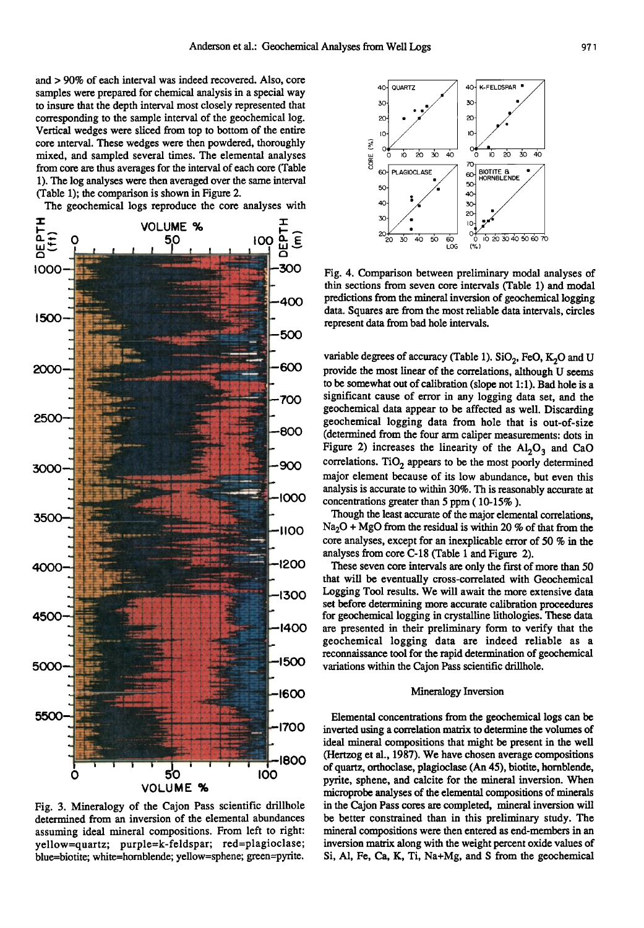and > 90% of each interval was indeed recovered. Also, core samples were prepared for chemical analysis in a special way to insure that the depth interval most closely represented that corresponding to the sample interval of the geochemical log. Vertical wedges were sliced from top to bottom of the entire core interval. These wedges were then powdered, thoroughly mixed, and sampled several times. The elemental analyses from core are thus averages for the interval of each core (Table 1). The log analyses were then averaged over the same interval (Table 1); the comparison is shown in Figure 2.

The geochemical logs reproduce the core analyses with



Fig. 3. Mineralogy of the Cajon Pass scientific drillhole determined from an inversion of the elemental abundances assuming ideal mineral compositions. From left to right: yellow=quartz; purple=k-feldspar; red=plagioclase; blue=biotite; white=hornblende; yellow=sphene; green=pyrite.



Fig. 4. Comparison between preliminary modal analyses of thin sections from seven core intervals (Table 1) and modal predictions from the mineral inversion of geochemical logging data. Squares are from the most reliable data intervals, circles represent data from bad hole intervals.

variable degrees of accuracy (Table 1).  $SiO<sub>2</sub>$ , FeO, K<sub>2</sub>O and U provide the most linear of the correlations, although U seems to be somewhat out of calibration (slope not 1:1). Bad hole is a significant cause of error in any logging data set, and the geochemical data appear to be affected as well. Discarding geochemical logging data from hole that is out-of-size (determined from the four arm caliper measurements: dots in Figure 2) increases the linearity of the  $Al_2O_3$  and CaO correlations.  $TiO<sub>2</sub>$  appears to be the most poorly determined major element because of its low abundance, but even this analysis is accurate to within 30%. Th is reasonably accurate at concentrations greater than 5 ppm (10-15%).

Though the least accurate of the major elemental correlations,  $Na<sub>2</sub>O + MgO$  from the residual is within 20 % of that from the core analyses, except for an inexplicable error of 50 % in the analyses from core C-18 (Table 1 and Figure 2).

These seven core intervals are only the first of more than 50 that will be eventually cross-correlated with Geochemical Logging Tool results. We will await the more extensive data set before determining more accurate calibration proceedures for geochemical logging in crystalline lithologies. These data are presented in their preliminary form to verify that the geochemical logging data are indeed reliable as a reconnaissance tool for the rapid determination of geochemical variations within the Cajon Pass scientific drillhole.

### Mineralogy Inversion

Elemental concentrations from the geochemical logs can be inverted using a correlation matrix to determine the volumes of ideal mineral compositions that might be present in the well (Hertzog et al., 1987). We have chosen average compositions of quartz, orthoclase, plagioclase (An 45), biotite, hornblende, pyrite, sphene, and calcite for the mineral inversion. When microprobe analyses of the elemental compositions of minerals in the Cajon Pass cores are completed, mineral inversion will be better constrained than in this preliminary study. The mineral compositions were then entered as end-members in an inversion matrix along with the weight percent oxide values of Si, Al, Fe, Ca, K, Ti, Na+Mg, and S from the geochemical